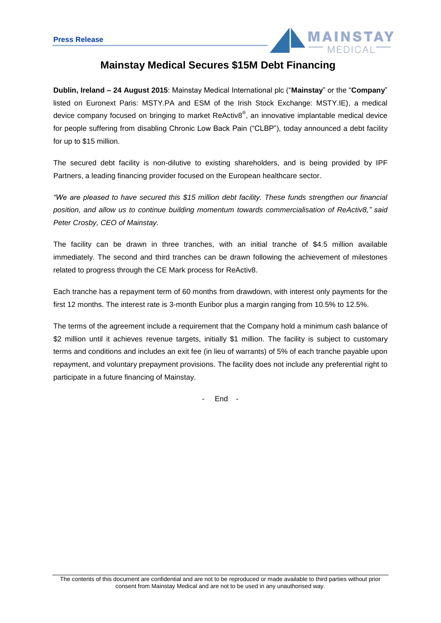

# **Mainstay Medical Secures \$15M Debt Financing**

**Dublin, Ireland – 24 August 2015**: Mainstay Medical International plc ("**Mainstay**" or the "**Company**" listed on Euronext Paris: MSTY.PA and ESM of the Irish Stock Exchange: MSTY.IE), a medical device company focused on bringing to market ReActiv8<sup>®</sup>, an innovative implantable medical device for people suffering from disabling Chronic Low Back Pain ("CLBP"), today announced a debt facility for up to \$15 million.

The secured debt facility is non-dilutive to existing shareholders, and is being provided by IPF Partners, a leading financing provider focused on the European healthcare sector.

*"We are pleased to have secured this \$15 million debt facility. These funds strengthen our financial position, and allow us to continue building momentum towards commercialisation of ReActiv8," said Peter Crosby, CEO of Mainstay.*

The facility can be drawn in three tranches, with an initial tranche of \$4.5 million available immediately. The second and third tranches can be drawn following the achievement of milestones related to progress through the CE Mark process for ReActiv8.

Each tranche has a repayment term of 60 months from drawdown, with interest only payments for the first 12 months. The interest rate is 3-month Euribor plus a margin ranging from 10.5% to 12.5%.

The terms of the agreement include a requirement that the Company hold a minimum cash balance of \$2 million until it achieves revenue targets, initially \$1 million. The facility is subject to customary terms and conditions and includes an exit fee (in lieu of warrants) of 5% of each tranche payable upon repayment, and voluntary prepayment provisions. The facility does not include any preferential right to participate in a future financing of Mainstay.

- End -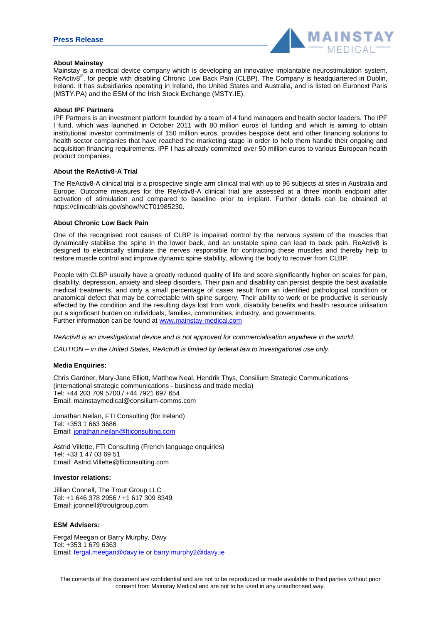

## **About Mainstay**

Mainstay is a medical device company which is developing an innovative implantable neurostimulation system, ReActiv8®  $\mathbb{P}$ , for people with disabling Chronic Low Back Pain (CLBP). The Company is headquartered in Dublin, Ireland. It has subsidiaries operating in Ireland, the United States and Australia, and is listed on Euronext Paris (MSTY.PA) and the ESM of the Irish Stock Exchange (MSTY.IE).

#### **About IPF Partners**

IPF Partners is an investment platform founded by a team of 4 fund managers and health sector leaders. The IPF I fund, which was launched in October 2011 with 80 million euros of funding and which is aiming to obtain institutional investor commitments of 150 million euros, provides bespoke debt and other financing solutions to health sector companies that have reached the marketing stage in order to help them handle their ongoing and acquisition financing requirements. IPF I has already committed over 50 million euros to various European health product companies.

#### **About the ReActiv8-A Trial**

The ReActiv8-A clinical trial is a prospective single arm clinical trial with up to 96 subjects at sites in Australia and Europe. Outcome measures for the ReActiv8-A clinical trial are assessed at a three month endpoint after activation of stimulation and compared to baseline prior to implant. Further details can be obtained at https://clinicaltrials.gov/show/NCT01985230.

# **About Chronic Low Back Pain**

One of the recognised root causes of CLBP is impaired control by the nervous system of the muscles that dynamically stabilise the spine in the lower back, and an unstable spine can lead to back pain. ReActiv8 is designed to electrically stimulate the nerves responsible for contracting these muscles and thereby help to restore muscle control and improve dynamic spine stability, allowing the body to recover from CLBP.

People with CLBP usually have a greatly reduced quality of life and score significantly higher on scales for pain, disability, depression, anxiety and sleep disorders. Their pain and disability can persist despite the best available medical treatments, and only a small percentage of cases result from an identified pathological condition or anatomical defect that may be correctable with spine surgery. Their ability to work or be productive is seriously affected by the condition and the resulting days lost from work, disability benefits and health resource utilisation put a significant burden on individuals, families, communities, industry, and governments. Further information can be found at www.mainstay-medical.com

*ReActiv8 is an investigational device and is not approved for commercialisation anywhere in the world.*

*CAUTION – in the United States, ReActiv8 is limited by federal law to investigational use only.*

#### **Media Enquiries:**

Chris Gardner, Mary-Jane Elliott, Matthew Neal, Hendrik Thys, Consilium Strategic Communications (international strategic communications - business and trade media) Tel: +44 203 709 5700 / +44 7921 697 654 Email: mainstaymedical@consilium-comms.com

Jonathan Neilan, FTI Consulting (for Ireland) Tel: +353 1 663 3686 Email: jonathan.neilan@fticonsulting.com

Astrid Villette, FTI Consulting (French language enquiries) Tel: +33 1 47 03 69 51 Email: Astrid.Villette@fticonsulting.com

#### **Investor relations:**

Jillian Connell, The Trout Group LLC Tel: +1 646 378 2956 / +1 617 309 8349 Email: jconnell@troutgroup.com

## **ESM Advisers:**

Fergal Meegan or Barry Murphy, Davy Tel: +353 1 679 6363 Email: fergal.meegan@davy.ie or barry.murphy2@davy.ie

The contents of this document are confidential and are not to be reproduced or made available to third parties without prior consent from Mainstay Medical and are not to be used in any unauthorised way.